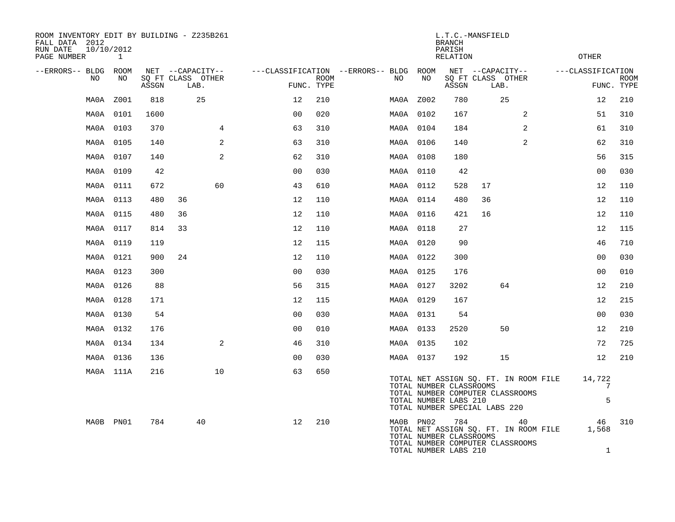| ROOM INVENTORY EDIT BY BUILDING - Z235B261<br>FALL DATA 2012<br>10/10/2012<br>RUN DATE<br>PAGE NUMBER |                     |       | L.T.C.-MANSFIELD<br><b>BRANCH</b><br>PARISH<br><b>RELATION</b><br>OTHER |                |      |                                         |            |                                                         |                                                                   |                                             |                   |             |
|-------------------------------------------------------------------------------------------------------|---------------------|-------|-------------------------------------------------------------------------|----------------|------|-----------------------------------------|------------|---------------------------------------------------------|-------------------------------------------------------------------|---------------------------------------------|-------------------|-------------|
| --ERRORS-- BLDG ROOM<br>NO                                                                            | $\mathbf{1}$<br>NO. |       | NET --CAPACITY--<br>SO FT CLASS OTHER                                   |                | ROOM | ---CLASSIFICATION --ERRORS-- BLDG<br>NO | ROOM<br>NO |                                                         | NET --CAPACITY--<br>SO FT CLASS OTHER                             |                                             | ---CLASSIFICATION | <b>ROOM</b> |
|                                                                                                       |                     | ASSGN | LAB.                                                                    | FUNC. TYPE     |      |                                         |            | ASSGN                                                   | LAB.                                                              |                                             |                   | FUNC. TYPE  |
| MA0A                                                                                                  | Z001                | 818   | 25                                                                      | 12             | 210  |                                         | MA0A Z002  | 780                                                     | 25                                                                |                                             | 12                | 210         |
|                                                                                                       | MA0A 0101           | 1600  |                                                                         | 0 <sub>0</sub> | 020  |                                         | MA0A 0102  | 167                                                     |                                                                   | 2                                           | 51                | 310         |
|                                                                                                       | MA0A 0103           | 370   | 4                                                                       | 63             | 310  |                                         | MA0A 0104  | 184                                                     |                                                                   | $\overline{2}$                              | 61                | 310         |
| MA0A                                                                                                  | 0105                | 140   | 2                                                                       | 63             | 310  |                                         | MA0A 0106  | 140                                                     |                                                                   | 2                                           | 62                | 310         |
|                                                                                                       | MA0A 0107           | 140   | 2                                                                       | 62             | 310  |                                         | MA0A 0108  | 180                                                     |                                                                   |                                             | 56                | 315         |
|                                                                                                       | MA0A 0109           | 42    |                                                                         | 00             | 030  |                                         | MA0A 0110  | 42                                                      |                                                                   |                                             | 0 <sub>0</sub>    | 030         |
| MAOA                                                                                                  | 0111                | 672   | 60                                                                      | 43             | 610  |                                         | MA0A 0112  | 528                                                     | 17                                                                |                                             | 12                | 110         |
| MAOA                                                                                                  | 0113                | 480   | 36                                                                      | 12             | 110  |                                         | MA0A 0114  | 480                                                     | 36                                                                |                                             | 12                | 110         |
| MA0A                                                                                                  | 0115                | 480   | 36                                                                      | 12             | 110  |                                         | MA0A 0116  | 421                                                     | 16                                                                |                                             | 12                | 110         |
|                                                                                                       | MA0A 0117           | 814   | 33                                                                      | 12             | 110  |                                         | MA0A 0118  | 27                                                      |                                                                   |                                             | 12                | 115         |
|                                                                                                       | MA0A 0119           | 119   |                                                                         | 12             | 115  |                                         | MA0A 0120  | 90                                                      |                                                                   |                                             | 46                | 710         |
|                                                                                                       | MA0A 0121           | 900   | 24                                                                      | 12             | 110  |                                         | MA0A 0122  | 300                                                     |                                                                   |                                             | 0 <sub>0</sub>    | 030         |
|                                                                                                       | MA0A 0123           | 300   |                                                                         | 0 <sub>0</sub> | 030  |                                         | MA0A 0125  | 176                                                     |                                                                   |                                             | 0 <sub>0</sub>    | 010         |
|                                                                                                       | MA0A 0126           | 88    |                                                                         | 56             | 315  |                                         | MA0A 0127  | 3202                                                    | 64                                                                |                                             | 12                | 210         |
|                                                                                                       | MA0A 0128           | 171   |                                                                         | 12             | 115  |                                         | MA0A 0129  | 167                                                     |                                                                   |                                             | 12                | 215         |
|                                                                                                       | MA0A 0130           | 54    |                                                                         | 0 <sub>0</sub> | 030  |                                         | MA0A 0131  | 54                                                      |                                                                   |                                             | 0 <sub>0</sub>    | 030         |
|                                                                                                       | MA0A 0132           | 176   |                                                                         | 0 <sub>0</sub> | 010  |                                         | MA0A 0133  | 2520                                                    | 50                                                                |                                             | 12                | 210         |
|                                                                                                       | MA0A 0134           | 134   | 2                                                                       | 46             | 310  |                                         | MA0A 0135  | 102                                                     |                                                                   |                                             | 72                | 725         |
|                                                                                                       | MA0A 0136           | 136   |                                                                         | 0 <sub>0</sub> | 030  |                                         | MA0A 0137  | 192                                                     | 15                                                                |                                             | 12                | 210         |
|                                                                                                       | MA0A 111A           | 216   | 10                                                                      | 63             | 650  |                                         |            | TOTAL NUMBER CLASSROOMS<br>TOTAL NUMBER LABS 210        | TOTAL NUMBER COMPUTER CLASSROOMS<br>TOTAL NUMBER SPECIAL LABS 220 | TOTAL NET ASSIGN SQ. FT. IN ROOM FILE       | 14,722<br>7<br>5  |             |
|                                                                                                       | MA0B PN01           | 784   | 40                                                                      | 12             | 210  |                                         | MA0B PN02  | 784<br>TOTAL NUMBER CLASSROOMS<br>TOTAL NUMBER LABS 210 | TOTAL NUMBER COMPUTER CLASSROOMS                                  | 40<br>TOTAL NET ASSIGN SQ. FT. IN ROOM FILE | 46<br>1,568<br>1  | 310         |